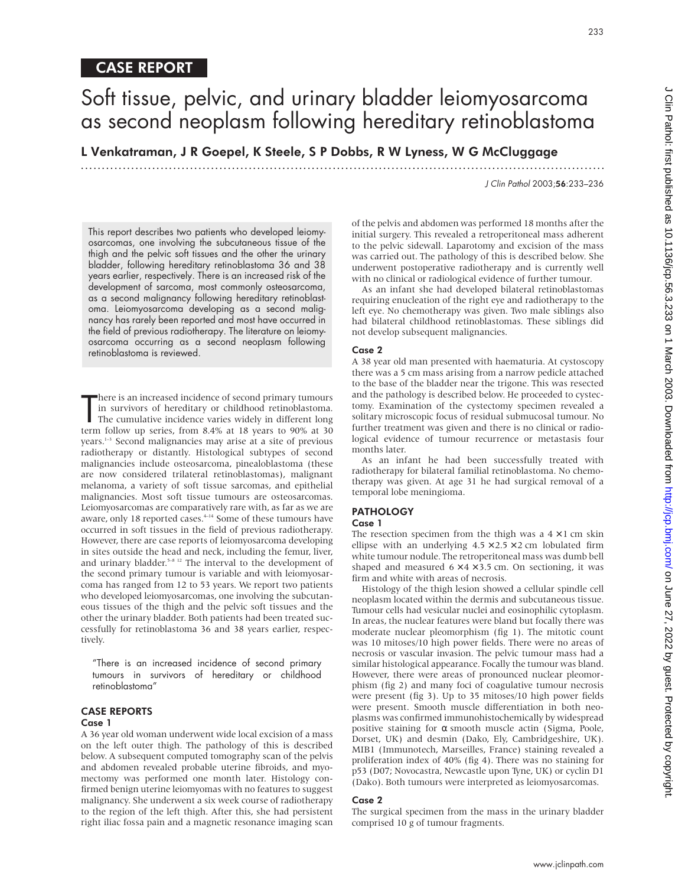## Soft tissue, pelvic, and urinary bladder leiomyosarcoma as second neoplasm following hereditary retinoblastoma

L Venkatraman, J R Goepel, K Steele, S P Dobbs, R W Lyness, W G McCluggage

.............................................................................................................................

J Clin Pathol 2003;56:233–236

This report describes two patients who developed leiomyosarcomas, one involving the subcutaneous tissue of the thigh and the pelvic soft tissues and the other the urinary bladder, following hereditary retinoblastoma 36 and 38 years earlier, respectively. There is an increased risk of the development of sarcoma, most commonly osteosarcoma, as a second malignancy following hereditary retinoblastoma. Leiomyosarcoma developing as a second malignancy has rarely been reported and most have occurred in the field of previous radiotherapy. The literature on leiomyosarcoma occurring as a second neoplasm following retinoblastoma is reviewed.

There is an increased incidence of second primary tumours<br>in survivors of hereditary or childhood retinoblastoma.<br>The cumulative incidence varies widely in different long<br>term follow up series, from 8.4% at 18 years to 90% here is an increased incidence of second primary tumours in survivors of hereditary or childhood retinoblastoma. The cumulative incidence varies widely in different long years.1–3 Second malignancies may arise at a site of previous radiotherapy or distantly. Histological subtypes of second malignancies include osteosarcoma, pinealoblastoma (these are now considered trilateral retinoblastomas), malignant melanoma, a variety of soft tissue sarcomas, and epithelial malignancies. Most soft tissue tumours are osteosarcomas. Leiomyosarcomas are comparatively rare with, as far as we are aware, only 18 reported cases.<sup>4-14</sup> Some of these tumours have occurred in soft tissues in the field of previous radiotherapy. However, there are case reports of leiomyosarcoma developing in sites outside the head and neck, including the femur, liver, and urinary bladder.<sup>5-8 12</sup> The interval to the development of the second primary tumour is variable and with leiomyosarcoma has ranged from 12 to 53 years. We report two patients who developed leiomyosarcomas, one involving the subcutaneous tissues of the thigh and the pelvic soft tissues and the other the urinary bladder. Both patients had been treated successfully for retinoblastoma 36 and 38 years earlier, respectively.

"There is an increased incidence of second primary tumours in survivors of hereditary or childhood retinoblastoma"

### CASE REPORTS

#### Case 1

A 36 year old woman underwent wide local excision of a mass on the left outer thigh. The pathology of this is described below. A subsequent computed tomography scan of the pelvis and abdomen revealed probable uterine fibroids, and myomectomy was performed one month later. Histology confirmed benign uterine leiomyomas with no features to suggest malignancy. She underwent a six week course of radiotherapy to the region of the left thigh. After this, she had persistent right iliac fossa pain and a magnetic resonance imaging scan

of the pelvis and abdomen was performed 18 months after the initial surgery. This revealed a retroperitoneal mass adherent to the pelvic sidewall. Laparotomy and excision of the mass was carried out. The pathology of this is described below. She underwent postoperative radiotherapy and is currently well with no clinical or radiological evidence of further tumour.

As an infant she had developed bilateral retinoblastomas requiring enucleation of the right eye and radiotherapy to the left eye. No chemotherapy was given. Two male siblings also had bilateral childhood retinoblastomas. These siblings did not develop subsequent malignancies.

#### Case 2

A 38 year old man presented with haematuria. At cystoscopy there was a 5 cm mass arising from a narrow pedicle attached to the base of the bladder near the trigone. This was resected and the pathology is described below. He proceeded to cystectomy. Examination of the cystectomy specimen revealed a solitary microscopic focus of residual submucosal tumour. No further treatment was given and there is no clinical or radiological evidence of tumour recurrence or metastasis four months later.

As an infant he had been successfully treated with radiotherapy for bilateral familial retinoblastoma. No chemotherapy was given. At age 31 he had surgical removal of a temporal lobe meningioma.

## **PATHOLOGY**

## Case 1

The resection specimen from the thigh was a  $4 \times 1$  cm skin ellipse with an underlying  $4.5 \times 2.5 \times 2$  cm lobulated firm white tumour nodule. The retroperitoneal mass was dumb bell shaped and measured  $6 \times 4 \times 3.5$  cm. On sectioning, it was firm and white with areas of necrosis.

Histology of the thigh lesion showed a cellular spindle cell neoplasm located within the dermis and subcutaneous tissue. Tumour cells had vesicular nuclei and eosinophilic cytoplasm. In areas, the nuclear features were bland but focally there was moderate nuclear pleomorphism (fig 1). The mitotic count was 10 mitoses/10 high power fields. There were no areas of necrosis or vascular invasion. The pelvic tumour mass had a similar histological appearance. Focally the tumour was bland. However, there were areas of pronounced nuclear pleomorphism (fig 2) and many foci of coagulative tumour necrosis were present (fig 3). Up to 35 mitoses/10 high power fields were present. Smooth muscle differentiation in both neoplasms was confirmed immunohistochemically by widespread positive staining for α smooth muscle actin (Sigma, Poole, Dorset, UK) and desmin (Dako, Ely, Cambridgeshire, UK). MIB1 (Immunotech, Marseilles, France) staining revealed a proliferation index of 40% (fig 4). There was no staining for p53 (D07; Novocastra, Newcastle upon Tyne, UK) or cyclin D1 (Dako). Both tumours were interpreted as leiomyosarcomas.

#### Case 2

The surgical specimen from the mass in the urinary bladder comprised 10 g of tumour fragments.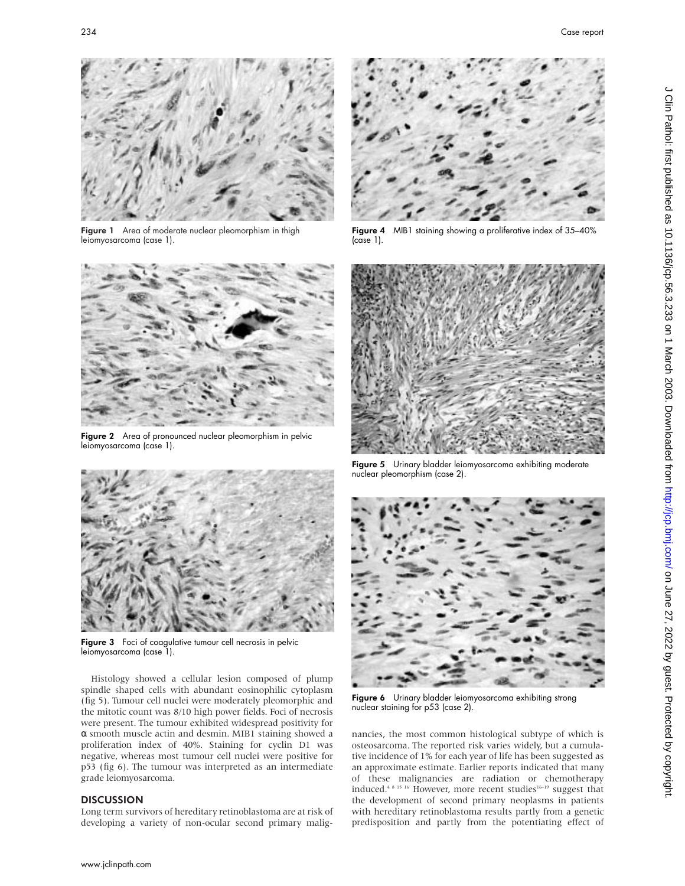

Figure 1 Area of moderate nuclear pleomorphism in thigh leiomyosarcoma (case 1).



Figure 2 Area of pronounced nuclear pleomorphism in pelvic leiomyosarcoma (case 1).



Figure 3 Foci of coagulative tumour cell necrosis in pelvic leiomyosarcoma (case 1).

Histology showed a cellular lesion composed of plump spindle shaped cells with abundant eosinophilic cytoplasm (fig 5). Tumour cell nuclei were moderately pleomorphic and the mitotic count was 8/10 high power fields. Foci of necrosis were present. The tumour exhibited widespread positivity for α smooth muscle actin and desmin. MIB1 staining showed a proliferation index of 40%. Staining for cyclin D1 was negative, whereas most tumour cell nuclei were positive for p53 (fig 6). The tumour was interpreted as an intermediate grade leiomyosarcoma.

#### **DISCUSSION**

Long term survivors of hereditary retinoblastoma are at risk of developing a variety of non-ocular second primary malig-



Figure 4 MIB1 staining showing a proliferative index of 35–40% (case 1).



Figure 5 Urinary bladder leiomyosarcoma exhibiting moderate nuclear pleomorphism (case 2).



Figure 6 Urinary bladder leiomyosarcoma exhibiting strong nuclear staining for p53 (case 2).

nancies, the most common histological subtype of which is osteosarcoma. The reported risk varies widely, but a cumulative incidence of 1% for each year of life has been suggested as an approximate estimate. Earlier reports indicated that many of these malignancies are radiation or chemotherapy induced.<sup>4 8 15 16</sup> However, more recent studies<sup>16-19</sup> suggest that the development of second primary neoplasms in patients with hereditary retinoblastoma results partly from a genetic predisposition and partly from the potentiating effect of J Clin Pathol: first published as 10.1136/jcp.56.3.223 on 1 March 2003. Downloaded from http://jcp.bmj.com/ on June 27, 2022 by guest. Protected by copyright. on June 27, 2022 by guest. Protected by copyright. Protect business and March 2023 on 1 Match 2003. Downloaded from in the High Pathol: first published as 10.1136/jcp.56.3.3.25 on 1 Match 2012. Disp.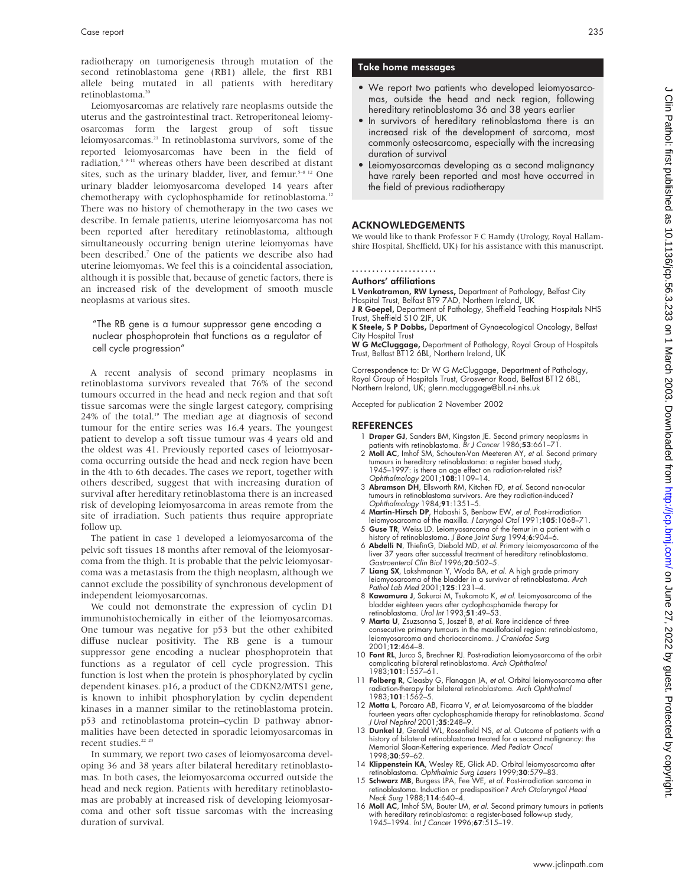radiotherapy on tumorigenesis through mutation of the second retinoblastoma gene (RB1) allele, the first RB1 allele being mutated in all patients with hereditary retinoblastoma.20

Leiomyosarcomas are relatively rare neoplasms outside the uterus and the gastrointestinal tract. Retroperitoneal leiomyosarcomas form the largest group of soft tissue leiomyosarcomas.21 In retinoblastoma survivors, some of the reported leiomyosarcomas have been in the field of radiation,<sup>4 9–11</sup> whereas others have been described at distant sites, such as the urinary bladder, liver, and femur.<sup>5–8 12</sup> One urinary bladder leiomyosarcoma developed 14 years after chemotherapy with cyclophosphamide for retinoblastoma.<sup>12</sup> There was no history of chemotherapy in the two cases we describe. In female patients, uterine leiomyosarcoma has not been reported after hereditary retinoblastoma, although simultaneously occurring benign uterine leiomyomas have been described.7 One of the patients we describe also had uterine leiomyomas. We feel this is a coincidental association, although it is possible that, because of genetic factors, there is an increased risk of the development of smooth muscle neoplasms at various sites.

"The RB gene is a tumour suppressor gene encoding a nuclear phosphoprotein that functions as a regulator of cell cycle progression"

A recent analysis of second primary neoplasms in retinoblastoma survivors revealed that 76% of the second tumours occurred in the head and neck region and that soft tissue sarcomas were the single largest category, comprising  $24\%$  of the total.<sup>19</sup> The median age at diagnosis of second tumour for the entire series was 16.4 years. The youngest patient to develop a soft tissue tumour was 4 years old and the oldest was 41. Previously reported cases of leiomyosarcoma occurring outside the head and neck region have been in the 4th to 6th decades. The cases we report, together with others described, suggest that with increasing duration of survival after hereditary retinoblastoma there is an increased risk of developing leiomyosarcoma in areas remote from the site of irradiation. Such patients thus require appropriate follow up.

The patient in case 1 developed a leiomyosarcoma of the pelvic soft tissues 18 months after removal of the leiomyosarcoma from the thigh. It is probable that the pelvic leiomyosarcoma was a metastasis from the thigh neoplasm, although we cannot exclude the possibility of synchronous development of independent leiomyosarcomas.

We could not demonstrate the expression of cyclin D1 immunohistochemically in either of the leiomyosarcomas. One tumour was negative for p53 but the other exhibited diffuse nuclear positivity. The RB gene is a tumour suppressor gene encoding a nuclear phosphoprotein that functions as a regulator of cell cycle progression. This function is lost when the protein is phosphorylated by cyclin dependent kinases. p16, a product of the CDKN2/MTS1 gene, is known to inhibit phosphorylation by cyclin dependent kinases in a manner similar to the retinoblastoma protein. p53 and retinoblastoma protein–cyclin D pathway abnormalities have been detected in sporadic leiomyosarcomas in recent studies.<sup>22</sup> <sup>23</sup>

In summary, we report two cases of leiomyosarcoma developing 36 and 38 years after bilateral hereditary retinoblastomas. In both cases, the leiomyosarcoma occurred outside the head and neck region. Patients with hereditary retinoblastomas are probably at increased risk of developing leiomyosarcoma and other soft tissue sarcomas with the increasing duration of survival.

#### Take home messages

- We report two patients who developed leiomyosarcomas, outside the head and neck region, following hereditary retinoblastoma 36 and 38 years earlier
- In survivors of hereditary retinoblastoma there is an increased risk of the development of sarcoma, most commonly osteosarcoma, especially with the increasing duration of survival
- Leiomyosarcomas developing as a second malignancy have rarely been reported and most have occurred in the field of previous radiotherapy

#### ACKNOWLEDGEMENTS

We would like to thank Professor F C Hamdy (Urology, Royal Hallamshire Hospital, Sheffield, UK) for his assistance with this manuscript.

#### ..................... Authors' affiliations

**L Venkatraman, RW Lyness,** Department of Pathology, Belfast City<br>Hospital Trust, Belfast BT9 7AD, Northern Ireland, UK

J R Goepel, Department of Pathology, Sheffield Teaching Hospitals NHS Trust, Sheffield S10 2JF, UK

K Steele, S P Dobbs, Department of Gynaecological Oncology, Belfast City Hospital Trust

**W G McCluggage,** Department of Pathology, Royal Group of Hospitals<br>Trust, Belfast BT12 6BL, Northern Ireland, UK

Correspondence to: Dr W G McCluggage, Department of Pathology, Royal Group of Hospitals Trust, Grosvenor Road, Belfast BT12 6BL, Northern Ireland, UK; glenn.mccluggage@bll.n-i.nhs.uk

Accepted for publication 2 November 2002

#### REFERENCES

- 1 Draper GJ, Sanders BM, Kingston JE. Second primary neoplasms in patients with retinoblastoma. Br J Cancer 1986;53:661-71.
- 2 Moll AC, Imhof SM, Schouten-Van Meeteren AY, et al. Second primary tumours in hereditary retinoblastoma: a register based study, 1945–1997: is there an age effect on radiation-related risk? Ophthalmology 2001;108:1109–14.
- 3 Abramson DH, Ellsworth RM, Kitchen FD, et al. Second non-ocular tumours in retinoblastoma survivors. Are they radiation-induced? Ophthalmology 1984;91:1351–5.
- 4 M**artin-Hirsch DP**, Habashi S, Benbow EW, *et al.* Post-irradiation<br>leiomyosarcoma of the maxilla. *J Laryngol Otol* 1991;**105**:1068–71.<br>5 **Guse TR**, Weiss LD. Leiomyosarcoma of the femur in a patient with a
- 
- history of retinoblastoma. *J Bone Joint Surg* 1994;**6**:904–6.<br>6 **Abdelli N**, ThiefinG, Diebold MD, *et al*. Primary leiomyosarcoma of the liver 37 years after successful treatment of hereditary retinoblastoma. Gastroenterol Clin Biol 1996;20:502–5.
- 7 Liang SX, Lakshmanan Y, Woda BA, et al. A high grade primary Living 3, Entertainmental to hadder in a survivor of retinoblastoma. Arch Pathol Lab Med 2001;125:1231-4.
- 8 Kawamura J, Sakurai M, Tsukamoto K, et al. Leiomyosarcoma of the bladder eighteen years after cyclophosphamide therapy for retinoblastoma. Urol Int 1993;51:49–53.
- 9 Marta U, Zsuzsanna S, Joszef B, et al. Rare incidence of three consecutive primary tumours in the maxillofacial region: retinoblastoma, leiomyosarcoma and choriocarcinoma. J Craniofac Surg 2001;12:464–8.
- 10 Font RL, Jurco S, Brechner RJ. Post-radiation leiomyosarcoma of the orbit complicating bilateral retinoblastoma. Arch Ophthalmol 1983;101:1557–61.
- 11 Folberg R, Cleasby G, Flanagan JA, et al. Orbital leiomyosarcoma after radiation-therapy for bilateral retinoblastoma. Arch Ophthalmol 1983;101:1562–5.
- 12 Motta L, Porcaro AB, Ficarra V, et al. Leiomyosarcoma of the bladder fourteen years after cyclophosphamide therapy for retinoblastoma. Scand
- J Urol Nephrol 2001;35:248–9. 13 Dunkel IJ, Gerald WL, Rosenfield NS, et al. Outcome of patients with a history of bilateral retinoblastoma treated for a second malignancy: the Memorial Sloan-Kettering experience. Med Pediatr Oncol 1998:30:59-62.
- 14 Klippenstein KA, Wesley RE, Glick AD. Orbital leiomyosarcoma after
- retinoblastoma. Ophthalmic Surg Lasers 1999;**30**:579–83.<br>15 **Schwarz MB**, Burgess LPA, Fee WE, *et al.* Post-irradiation sarcoma in<br>15 retinoblastoma. Induction or predisposition? Arch Otolaryngol Head Neck Surg 1988;114:640–4.
- 16 Moll AC, Imhof SM, Bouter LM, et al. Second primary tumours in patients with hereditary retinoblastoma: a register-based follow-up study, 1945–1994. Int J Cancer 1996;67:515–19.